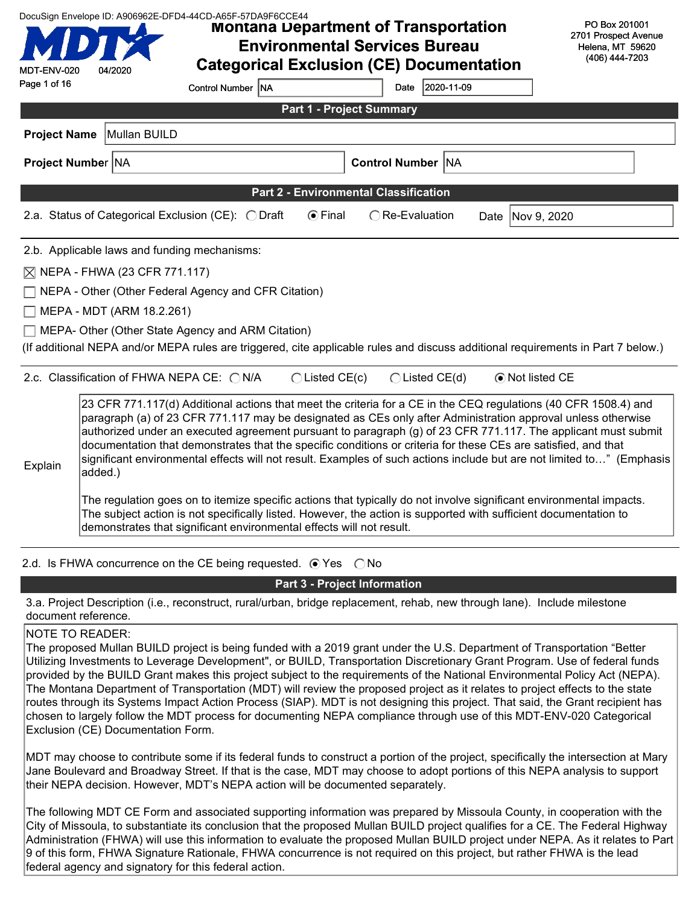| DocuSign Envelope ID: A906962E-DFD4-44CD-A65F-57DA9F6CCE44<br><b>Montana Department of Transportation</b><br><b>Environmental Services Bureau</b><br><b>Categorical Exclusion (CE) Documentation</b><br>MDT-ENV-020<br>04/2020 |                                          |                                                                                                                                                                                                                                                                                                                                                                                                                                                                                                                                                                                                                                                                      |                                              |                          |                    | PO Box 201001<br>2701 Prospect Avenue<br>Helena, MT 59620<br>(406) 444-7203                                                                                                                                                            |
|--------------------------------------------------------------------------------------------------------------------------------------------------------------------------------------------------------------------------------|------------------------------------------|----------------------------------------------------------------------------------------------------------------------------------------------------------------------------------------------------------------------------------------------------------------------------------------------------------------------------------------------------------------------------------------------------------------------------------------------------------------------------------------------------------------------------------------------------------------------------------------------------------------------------------------------------------------------|----------------------------------------------|--------------------------|--------------------|----------------------------------------------------------------------------------------------------------------------------------------------------------------------------------------------------------------------------------------|
| Page 1 of 16                                                                                                                                                                                                                   |                                          | Control Number NA                                                                                                                                                                                                                                                                                                                                                                                                                                                                                                                                                                                                                                                    |                                              | 2020-11-09<br>Date       |                    |                                                                                                                                                                                                                                        |
|                                                                                                                                                                                                                                |                                          |                                                                                                                                                                                                                                                                                                                                                                                                                                                                                                                                                                                                                                                                      | Part 1 - Project Summary                     |                          |                    |                                                                                                                                                                                                                                        |
| <b>Project Name</b>                                                                                                                                                                                                            | Mullan BUILD                             |                                                                                                                                                                                                                                                                                                                                                                                                                                                                                                                                                                                                                                                                      |                                              |                          |                    |                                                                                                                                                                                                                                        |
|                                                                                                                                                                                                                                | <b>Project Number NA</b>                 |                                                                                                                                                                                                                                                                                                                                                                                                                                                                                                                                                                                                                                                                      |                                              | <b>Control Number NA</b> |                    |                                                                                                                                                                                                                                        |
|                                                                                                                                                                                                                                |                                          |                                                                                                                                                                                                                                                                                                                                                                                                                                                                                                                                                                                                                                                                      | <b>Part 2 - Environmental Classification</b> |                          |                    |                                                                                                                                                                                                                                        |
|                                                                                                                                                                                                                                |                                          | 2.a. Status of Categorical Exclusion (CE): O Draft                                                                                                                                                                                                                                                                                                                                                                                                                                                                                                                                                                                                                   | ⊙Final                                       | ◯ Re-Evaluation          | Date   Nov 9, 2020 |                                                                                                                                                                                                                                        |
|                                                                                                                                                                                                                                |                                          | 2.b. Applicable laws and funding mechanisms:                                                                                                                                                                                                                                                                                                                                                                                                                                                                                                                                                                                                                         |                                              |                          |                    |                                                                                                                                                                                                                                        |
|                                                                                                                                                                                                                                | $\boxtimes$ NEPA - FHWA (23 CFR 771.117) |                                                                                                                                                                                                                                                                                                                                                                                                                                                                                                                                                                                                                                                                      |                                              |                          |                    |                                                                                                                                                                                                                                        |
|                                                                                                                                                                                                                                |                                          | NEPA - Other (Other Federal Agency and CFR Citation)                                                                                                                                                                                                                                                                                                                                                                                                                                                                                                                                                                                                                 |                                              |                          |                    |                                                                                                                                                                                                                                        |
|                                                                                                                                                                                                                                | MEPA - MDT (ARM 18.2.261)                |                                                                                                                                                                                                                                                                                                                                                                                                                                                                                                                                                                                                                                                                      |                                              |                          |                    |                                                                                                                                                                                                                                        |
|                                                                                                                                                                                                                                |                                          | MEPA- Other (Other State Agency and ARM Citation)                                                                                                                                                                                                                                                                                                                                                                                                                                                                                                                                                                                                                    |                                              |                          |                    |                                                                                                                                                                                                                                        |
|                                                                                                                                                                                                                                |                                          |                                                                                                                                                                                                                                                                                                                                                                                                                                                                                                                                                                                                                                                                      |                                              |                          |                    | (If additional NEPA and/or MEPA rules are triggered, cite applicable rules and discuss additional requirements in Part 7 below.)                                                                                                       |
|                                                                                                                                                                                                                                |                                          | 2.c. Classification of FHWA NEPA CE: ○ N/A                                                                                                                                                                                                                                                                                                                                                                                                                                                                                                                                                                                                                           | $\bigcirc$ Listed CE(c)                      | $\bigcirc$ Listed CE(d)  | ⊙ Not listed CE    |                                                                                                                                                                                                                                        |
| Explain                                                                                                                                                                                                                        | added.)                                  | 23 CFR 771.117(d) Additional actions that meet the criteria for a CE in the CEQ regulations (40 CFR 1508.4) and<br>paragraph (a) of 23 CFR 771.117 may be designated as CEs only after Administration approval unless otherwise<br>documentation that demonstrates that the specific conditions or criteria for these CEs are satisfied, and that<br>The regulation goes on to itemize specific actions that typically do not involve significant environmental impacts.<br>The subject action is not specifically listed. However, the action is supported with sufficient documentation to<br>demonstrates that significant environmental effects will not result. |                                              |                          |                    | authorized under an executed agreement pursuant to paragraph (g) of 23 CFR 771.117. The applicant must submit<br>significant environmental effects will not result. Examples of such actions include but are not limited to" (Emphasis |

2.d. Is FHWA concurrence on the CE being requested.  $\bigcirc$  Yes  $\bigcirc$  No

#### Part 3 - Project Information

3.a. Project Description (i.e., reconstruct, rural/urban, bridge replacement, rehab, new through lane). Include milestone document reference.

#### NOTE TO READER:

The proposed Mullan BUILD project is being funded with a 2019 grant under the U.S. Department of Transportation "Better Utilizing Investments to Leverage Development", or BUILD, Transportation Discretionary Grant Program. Use of federal funds provided by the BUILD Grant makes this project subject to the requirements of the National Environmental Policy Act (NEPA). The Montana Department of Transportation (MDT) will review the proposed project as it relates to project effects to the state routes through its Systems Impact Action Process (SIAP). MDT is not designing this project. That said, the Grant recipient has chosen to largely follow the MDT process for documenting NEPA compliance through use of this MDT-ENV-020 Categorical Exclusion (CE) Documentation Form.

MDT may choose to contribute some if its federal funds to construct a portion of the project, specifically the intersection at Mary Jane Boulevard and Broadway Street. If that is the case, MDT may choose to adopt portions of this NEPA analysis to support their NEPA decision. However, MDT's NEPA action will be documented separately.

The following MDT CE Form and associated supporting information was prepared by Missoula County, in cooperation with the City of Missoula, to substantiate its conclusion that the proposed Mullan BUILD project qualifies for a CE. The Federal Highway Administration (FHWA) will use this information to evaluate the proposed Mullan BUILD project under NEPA. As it relates to Part 9 of this form, FHWA Signature Rationale, FHWA concurrence is not required on this project, but rather FHWA is the lead federal agency and signatory for this federal action.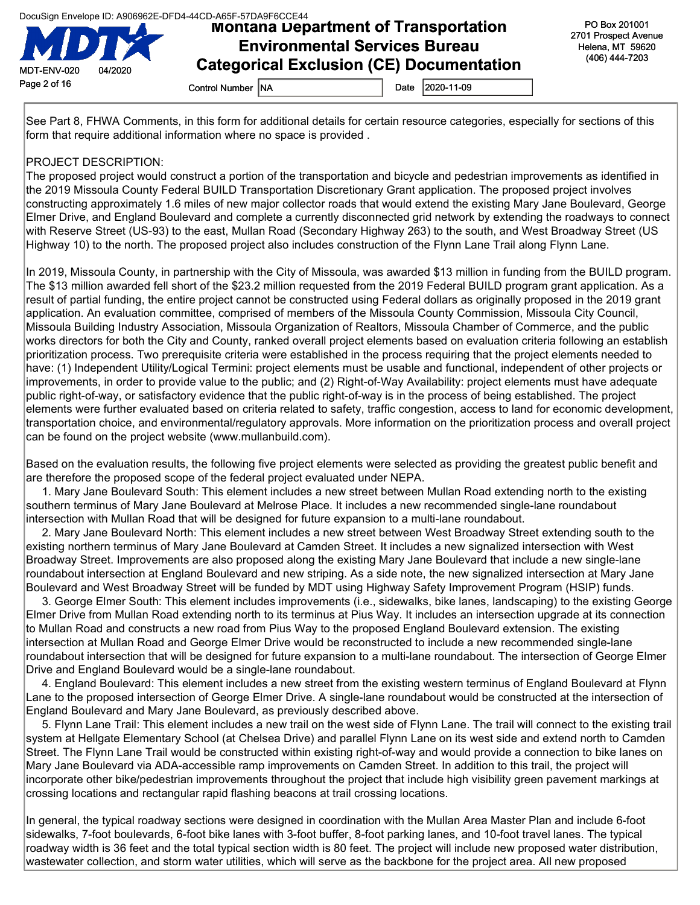

## Montana Department of Transportation Environmental Services Bureau Categorical Exclusion (CE) Documentation

See Part 8, FHWA Comments, in this form for additional details for certain resource categories, especially for sections of this form that require additional information where no space is provided .

#### PROJECT DESCRIPTION:

The proposed project would construct a portion of the transportation and bicycle and pedestrian improvements as identified in the 2019 Missoula County Federal BUILD Transportation Discretionary Grant application. The proposed project involves constructing approximately 1.6 miles of new major collector roads that would extend the existing Mary Jane Boulevard, George Elmer Drive, and England Boulevard and complete a currently disconnected grid network by extending the roadways to connect with Reserve Street (US-93) to the east, Mullan Road (Secondary Highway 263) to the south, and West Broadway Street (US Highway 10) to the north. The proposed project also includes construction of the Flynn Lane Trail along Flynn Lane.

In 2019, Missoula County, in partnership with the City of Missoula, was awarded \$13 million in funding from the BUILD program. The \$13 million awarded fell short of the \$23.2 million requested from the 2019 Federal BUILD program grant application. As a result of partial funding, the entire project cannot be constructed using Federal dollars as originally proposed in the 2019 grant application. An evaluation committee, comprised of members of the Missoula County Commission, Missoula City Council, Missoula Building Industry Association, Missoula Organization of Realtors, Missoula Chamber of Commerce, and the public works directors for both the City and County, ranked overall project elements based on evaluation criteria following an establish prioritization process. Two prerequisite criteria were established in the process requiring that the project elements needed to have: (1) Independent Utility/Logical Termini: project elements must be usable and functional, independent of other projects or improvements, in order to provide value to the public; and (2) Right-of-Way Availability: project elements must have adequate public right-of-way, or satisfactory evidence that the public right-of-way is in the process of being established. The project elements were further evaluated based on criteria related to safety, traffic congestion, access to land for economic development, transportation choice, and environmental/regulatory approvals. More information on the prioritization process and overall project can be found on the project website (www.mullanbuild.com).

Based on the evaluation results, the following five project elements were selected as providing the greatest public benefit and are therefore the proposed scope of the federal project evaluated under NEPA.

 1. Mary Jane Boulevard South: This element includes a new street between Mullan Road extending north to the existing southern terminus of Mary Jane Boulevard at Melrose Place. It includes a new recommended single-lane roundabout intersection with Mullan Road that will be designed for future expansion to a multi-lane roundabout.

 2. Mary Jane Boulevard North: This element includes a new street between West Broadway Street extending south to the existing northern terminus of Mary Jane Boulevard at Camden Street. It includes a new signalized intersection with West Broadway Street. Improvements are also proposed along the existing Mary Jane Boulevard that include a new single-lane roundabout intersection at England Boulevard and new striping. As a side note, the new signalized intersection at Mary Jane Boulevard and West Broadway Street will be funded by MDT using Highway Safety Improvement Program (HSIP) funds.

 3. George Elmer South: This element includes improvements (i.e., sidewalks, bike lanes, landscaping) to the existing George Elmer Drive from Mullan Road extending north to its terminus at Pius Way. It includes an intersection upgrade at its connection to Mullan Road and constructs a new road from Pius Way to the proposed England Boulevard extension. The existing intersection at Mullan Road and George Elmer Drive would be reconstructed to include a new recommended single-lane roundabout intersection that will be designed for future expansion to a multi-lane roundabout. The intersection of George Elmer Drive and England Boulevard would be a single-lane roundabout.

 4. England Boulevard: This element includes a new street from the existing western terminus of England Boulevard at Flynn Lane to the proposed intersection of George Elmer Drive. A single-lane roundabout would be constructed at the intersection of England Boulevard and Mary Jane Boulevard, as previously described above.

 5. Flynn Lane Trail: This element includes a new trail on the west side of Flynn Lane. The trail will connect to the existing trail system at Hellgate Elementary School (at Chelsea Drive) and parallel Flynn Lane on its west side and extend north to Camden Street. The Flynn Lane Trail would be constructed within existing right-of-way and would provide a connection to bike lanes on Mary Jane Boulevard via ADA-accessible ramp improvements on Camden Street. In addition to this trail, the project will incorporate other bike/pedestrian improvements throughout the project that include high visibility green pavement markings at crossing locations and rectangular rapid flashing beacons at trail crossing locations.

In general, the typical roadway sections were designed in coordination with the Mullan Area Master Plan and include 6-foot sidewalks, 7-foot boulevards, 6-foot bike lanes with 3-foot buffer, 8-foot parking lanes, and 10-foot travel lanes. The typical roadway width is 36 feet and the total typical section width is 80 feet. The project will include new proposed water distribution, wastewater collection, and storm water utilities, which will serve as the backbone for the project area. All new proposed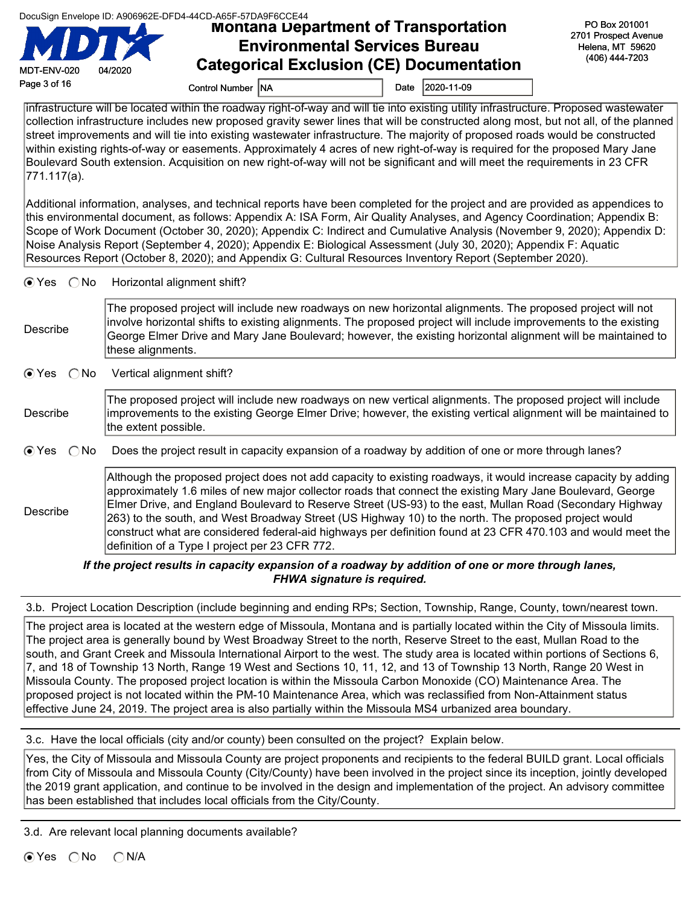|  |  | DocuSign Envelope ID: A906962E-DFD4-44CD-A65F-57DA9F6CCE44 |
|--|--|------------------------------------------------------------|
|  |  |                                                            |
|  |  |                                                            |

DocuSign Envelope ID: A906962E-DFD4-44CD-A65F-57DA9F6CCE44<br>**Montana Department of Transportation** Environmental Services Bureau Categorical Exclusion (CE) Documentation

PO Box 201001 2701 Prospect Avenue Helena, MT 59620 (406) 444-7203

Page 3 of 16 Control Number NA Date 2020-11-09

MDT-ENV-020 04/2020

infrastructure will be located within the roadway right-of-way and will tie into existing utility infrastructure. Proposed wastewater collection infrastructure includes new proposed gravity sewer lines that will be constructed along most, but not all, of the planned street improvements and will tie into existing wastewater infrastructure. The majority of proposed roads would be constructed within existing rights-of-way or easements. Approximately 4 acres of new right-of-way is required for the proposed Mary Jane Boulevard South extension. Acquisition on new right-of-way will not be significant and will meet the requirements in 23 CFR 771.117(a).

Additional information, analyses, and technical reports have been completed for the project and are provided as appendices to this environmental document, as follows: Appendix A: ISA Form, Air Quality Analyses, and Agency Coordination; Appendix B: Scope of Work Document (October 30, 2020); Appendix C: Indirect and Cumulative Analysis (November 9, 2020); Appendix D: Noise Analysis Report (September 4, 2020); Appendix E: Biological Assessment (July 30, 2020); Appendix F: Aquatic Resources Report (October 8, 2020); and Appendix G: Cultural Resources Inventory Report (September 2020).

 $\odot$  Yes  $\odot$  No Horizontal alignment shift?

| Describe | The proposed project will include new roadways on new horizontal alignments. The proposed project will not<br>involve horizontal shifts to existing alignments. The proposed project will include improvements to the existing<br>George Elmer Drive and Mary Jane Boulevard; however, the existing horizontal alignment will be maintained to<br>these alignments. |
|----------|---------------------------------------------------------------------------------------------------------------------------------------------------------------------------------------------------------------------------------------------------------------------------------------------------------------------------------------------------------------------|
|----------|---------------------------------------------------------------------------------------------------------------------------------------------------------------------------------------------------------------------------------------------------------------------------------------------------------------------------------------------------------------------|

 $\odot$  Yes  $\odot$  No Vertical alignment shift?

| Describe | The proposed project will include new roadways on new vertical alignments. The proposed project will include<br>improvements to the existing George Elmer Drive; however, the existing vertical alignment will be maintained to |
|----------|---------------------------------------------------------------------------------------------------------------------------------------------------------------------------------------------------------------------------------|
|          | the extent possible.                                                                                                                                                                                                            |

G Yes  $\bigcirc$  No Does the project result in capacity expansion of a roadway by addition of one or more through lanes?

Describe Although the proposed project does not add capacity to existing roadways, it would increase capacity by adding approximately 1.6 miles of new major collector roads that connect the existing Mary Jane Boulevard, George Elmer Drive, and England Boulevard to Reserve Street (US-93) to the east, Mullan Road (Secondary Highway 263) to the south, and West Broadway Street (US Highway 10) to the north. The proposed project would construct what are considered federal-aid highways per definition found at 23 CFR 470.103 and would meet the definition of a Type I project per 23 CFR 772.

If the project results in capacity expansion of a roadway by addition of one or more through lanes, FHWA signature is required.

3.b. Project Location Description (include beginning and ending RPs; Section, Township, Range, County, town/nearest town.

The project area is located at the western edge of Missoula, Montana and is partially located within the City of Missoula limits. The project area is generally bound by West Broadway Street to the north, Reserve Street to the east, Mullan Road to the south, and Grant Creek and Missoula International Airport to the west. The study area is located within portions of Sections 6, 7, and 18 of Township 13 North, Range 19 West and Sections 10, 11, 12, and 13 of Township 13 North, Range 20 West in Missoula County. The proposed project location is within the Missoula Carbon Monoxide (CO) Maintenance Area. The proposed project is not located within the PM-10 Maintenance Area, which was reclassified from Non-Attainment status effective June 24, 2019. The project area is also partially within the Missoula MS4 urbanized area boundary.

3.c. Have the local officials (city and/or county) been consulted on the project? Explain below.

Yes, the City of Missoula and Missoula County are project proponents and recipients to the federal BUILD grant. Local officials from City of Missoula and Missoula County (City/County) have been involved in the project since its inception, jointly developed the 2019 grant application, and continue to be involved in the design and implementation of the project. An advisory committee has been established that includes local officials from the City/County.

3.d. Are relevant local planning documents available?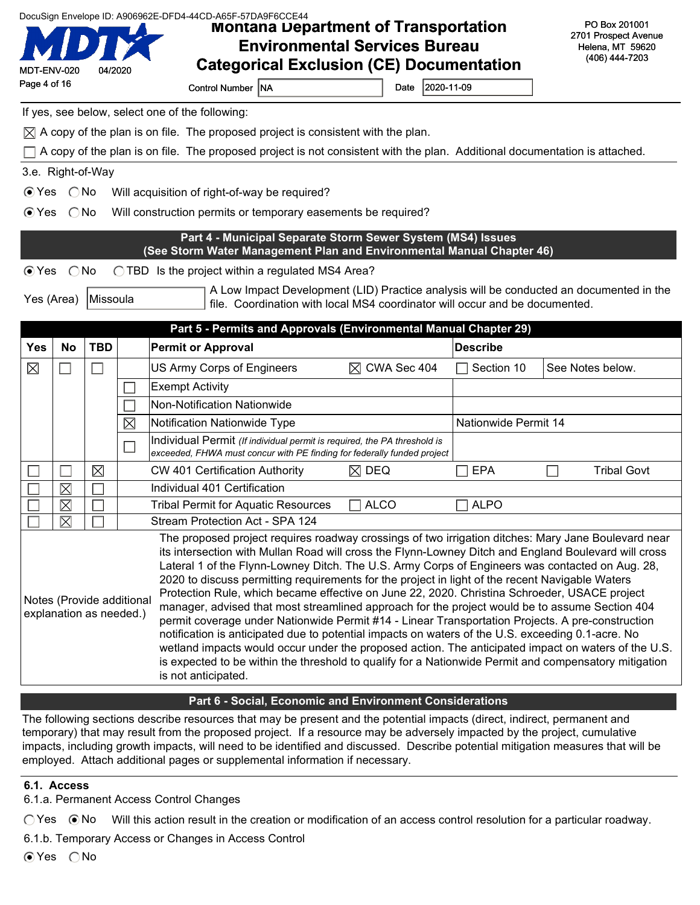| DocuSign Envelope ID: A906962E-DFD4-44CD-A65F-57DA9F6CCE44<br><b>Montana Department of Transportation</b><br><b>Environmental Services Bureau</b><br><b>Categorical Exclusion (CE) Documentation</b><br>MDT-ENV-020<br>04/2020<br>Page 4 of 16 |                                                                                                                                                                                                                                                                                                                                                                                                                                                                                                                                                                                                                                                                                                                                                                                                                                                                                                                                                                                                                                                                                                                             |             |             |                                                                                                                                                                        |                         |                      | PO Box 201001<br>2701 Prospect Avenue<br>Helena, MT 59620<br>(406) 444-7203 |  |
|------------------------------------------------------------------------------------------------------------------------------------------------------------------------------------------------------------------------------------------------|-----------------------------------------------------------------------------------------------------------------------------------------------------------------------------------------------------------------------------------------------------------------------------------------------------------------------------------------------------------------------------------------------------------------------------------------------------------------------------------------------------------------------------------------------------------------------------------------------------------------------------------------------------------------------------------------------------------------------------------------------------------------------------------------------------------------------------------------------------------------------------------------------------------------------------------------------------------------------------------------------------------------------------------------------------------------------------------------------------------------------------|-------------|-------------|------------------------------------------------------------------------------------------------------------------------------------------------------------------------|-------------------------|----------------------|-----------------------------------------------------------------------------|--|
|                                                                                                                                                                                                                                                |                                                                                                                                                                                                                                                                                                                                                                                                                                                                                                                                                                                                                                                                                                                                                                                                                                                                                                                                                                                                                                                                                                                             |             |             | Control Number NA                                                                                                                                                      | Date                    | 2020-11-09           |                                                                             |  |
|                                                                                                                                                                                                                                                |                                                                                                                                                                                                                                                                                                                                                                                                                                                                                                                                                                                                                                                                                                                                                                                                                                                                                                                                                                                                                                                                                                                             |             |             | If yes, see below, select one of the following:                                                                                                                        |                         |                      |                                                                             |  |
|                                                                                                                                                                                                                                                |                                                                                                                                                                                                                                                                                                                                                                                                                                                                                                                                                                                                                                                                                                                                                                                                                                                                                                                                                                                                                                                                                                                             |             |             | $\boxtimes$ A copy of the plan is on file. The proposed project is consistent with the plan.                                                                           |                         |                      |                                                                             |  |
|                                                                                                                                                                                                                                                |                                                                                                                                                                                                                                                                                                                                                                                                                                                                                                                                                                                                                                                                                                                                                                                                                                                                                                                                                                                                                                                                                                                             |             |             | A copy of the plan is on file. The proposed project is not consistent with the plan. Additional documentation is attached.                                             |                         |                      |                                                                             |  |
| 3.e. Right-of-Way                                                                                                                                                                                                                              |                                                                                                                                                                                                                                                                                                                                                                                                                                                                                                                                                                                                                                                                                                                                                                                                                                                                                                                                                                                                                                                                                                                             |             |             |                                                                                                                                                                        |                         |                      |                                                                             |  |
| $\odot$ Yes                                                                                                                                                                                                                                    | $\bigcirc$ No                                                                                                                                                                                                                                                                                                                                                                                                                                                                                                                                                                                                                                                                                                                                                                                                                                                                                                                                                                                                                                                                                                               |             |             | Will acquisition of right-of-way be required?                                                                                                                          |                         |                      |                                                                             |  |
| $\odot$ Yes                                                                                                                                                                                                                                    | $\bigcirc$ No                                                                                                                                                                                                                                                                                                                                                                                                                                                                                                                                                                                                                                                                                                                                                                                                                                                                                                                                                                                                                                                                                                               |             |             | Will construction permits or temporary easements be required?                                                                                                          |                         |                      |                                                                             |  |
|                                                                                                                                                                                                                                                |                                                                                                                                                                                                                                                                                                                                                                                                                                                                                                                                                                                                                                                                                                                                                                                                                                                                                                                                                                                                                                                                                                                             |             |             | Part 4 - Municipal Separate Storm Sewer System (MS4) Issues<br>(See Storm Water Management Plan and Environmental Manual Chapter 46)                                   |                         |                      |                                                                             |  |
| $\odot$ Yes                                                                                                                                                                                                                                    | $\bigcirc$ No                                                                                                                                                                                                                                                                                                                                                                                                                                                                                                                                                                                                                                                                                                                                                                                                                                                                                                                                                                                                                                                                                                               |             |             | ◯ TBD Is the project within a regulated MS4 Area?                                                                                                                      |                         |                      |                                                                             |  |
| Yes (Area)                                                                                                                                                                                                                                     |                                                                                                                                                                                                                                                                                                                                                                                                                                                                                                                                                                                                                                                                                                                                                                                                                                                                                                                                                                                                                                                                                                                             | Missoula    |             | A Low Impact Development (LID) Practice analysis will be conducted an documented in the<br>file. Coordination with local MS4 coordinator will occur and be documented. |                         |                      |                                                                             |  |
|                                                                                                                                                                                                                                                |                                                                                                                                                                                                                                                                                                                                                                                                                                                                                                                                                                                                                                                                                                                                                                                                                                                                                                                                                                                                                                                                                                                             |             |             | Part 5 - Permits and Approvals (Environmental Manual Chapter 29)                                                                                                       |                         |                      |                                                                             |  |
| <b>Yes</b>                                                                                                                                                                                                                                     | <b>No</b>                                                                                                                                                                                                                                                                                                                                                                                                                                                                                                                                                                                                                                                                                                                                                                                                                                                                                                                                                                                                                                                                                                                   | <b>TBD</b>  |             | <b>Permit or Approval</b>                                                                                                                                              |                         | <b>Describe</b>      |                                                                             |  |
| $\boxtimes$                                                                                                                                                                                                                                    | $\Box$                                                                                                                                                                                                                                                                                                                                                                                                                                                                                                                                                                                                                                                                                                                                                                                                                                                                                                                                                                                                                                                                                                                      |             |             | US Army Corps of Engineers                                                                                                                                             | $\boxtimes$ CWA Sec 404 | Section 10           | See Notes below.                                                            |  |
|                                                                                                                                                                                                                                                |                                                                                                                                                                                                                                                                                                                                                                                                                                                                                                                                                                                                                                                                                                                                                                                                                                                                                                                                                                                                                                                                                                                             |             |             | <b>Exempt Activity</b>                                                                                                                                                 |                         |                      |                                                                             |  |
|                                                                                                                                                                                                                                                |                                                                                                                                                                                                                                                                                                                                                                                                                                                                                                                                                                                                                                                                                                                                                                                                                                                                                                                                                                                                                                                                                                                             |             |             | <b>Non-Notification Nationwide</b>                                                                                                                                     |                         |                      |                                                                             |  |
|                                                                                                                                                                                                                                                |                                                                                                                                                                                                                                                                                                                                                                                                                                                                                                                                                                                                                                                                                                                                                                                                                                                                                                                                                                                                                                                                                                                             |             | $\boxtimes$ | Notification Nationwide Type                                                                                                                                           |                         | Nationwide Permit 14 |                                                                             |  |
|                                                                                                                                                                                                                                                |                                                                                                                                                                                                                                                                                                                                                                                                                                                                                                                                                                                                                                                                                                                                                                                                                                                                                                                                                                                                                                                                                                                             |             |             | Individual Permit (If individual permit is required, the PA threshold is<br>exceeded, FHWA must concur with PE finding for federally funded project                    |                         |                      |                                                                             |  |
|                                                                                                                                                                                                                                                |                                                                                                                                                                                                                                                                                                                                                                                                                                                                                                                                                                                                                                                                                                                                                                                                                                                                                                                                                                                                                                                                                                                             | $\boxtimes$ |             | CW 401 Certification Authority<br>$\boxtimes$ DEQ                                                                                                                      |                         | <b>EPA</b>           | <b>Tribal Govt</b>                                                          |  |
|                                                                                                                                                                                                                                                | $\boxtimes$                                                                                                                                                                                                                                                                                                                                                                                                                                                                                                                                                                                                                                                                                                                                                                                                                                                                                                                                                                                                                                                                                                                 |             |             | Individual 401 Certification                                                                                                                                           |                         |                      |                                                                             |  |
|                                                                                                                                                                                                                                                | $\boxtimes$                                                                                                                                                                                                                                                                                                                                                                                                                                                                                                                                                                                                                                                                                                                                                                                                                                                                                                                                                                                                                                                                                                                 |             |             | <b>ALCO</b><br><b>Tribal Permit for Aquatic Resources</b>                                                                                                              |                         | <b>ALPO</b>          |                                                                             |  |
|                                                                                                                                                                                                                                                | $\boxtimes$                                                                                                                                                                                                                                                                                                                                                                                                                                                                                                                                                                                                                                                                                                                                                                                                                                                                                                                                                                                                                                                                                                                 | $\Box$      |             | Stream Protection Act - SPA 124                                                                                                                                        |                         |                      |                                                                             |  |
|                                                                                                                                                                                                                                                | The proposed project requires roadway crossings of two irrigation ditches: Mary Jane Boulevard near<br>its intersection with Mullan Road will cross the Flynn-Lowney Ditch and England Boulevard will cross<br>Lateral 1 of the Flynn-Lowney Ditch. The U.S. Army Corps of Engineers was contacted on Aug. 28,<br>2020 to discuss permitting requirements for the project in light of the recent Navigable Waters<br>Protection Rule, which became effective on June 22, 2020. Christina Schroeder, USACE project<br>Notes (Provide additional<br>manager, advised that most streamlined approach for the project would be to assume Section 404<br>explanation as needed.)<br>permit coverage under Nationwide Permit #14 - Linear Transportation Projects. A pre-construction<br>notification is anticipated due to potential impacts on waters of the U.S. exceeding 0.1-acre. No<br>wetland impacts would occur under the proposed action. The anticipated impact on waters of the U.S.<br>is expected to be within the threshold to qualify for a Nationwide Permit and compensatory mitigation<br>is not anticipated. |             |             |                                                                                                                                                                        |                         |                      |                                                                             |  |

#### Part 6 - Social, Economic and Environment Considerations

The following sections describe resources that may be present and the potential impacts (direct, indirect, permanent and temporary) that may result from the proposed project. If a resource may be adversely impacted by the project, cumulative impacts, including growth impacts, will need to be identified and discussed. Describe potential mitigation measures that will be employed. Attach additional pages or supplemental information if necessary.

#### 6.1. Access

6.1.a. Permanent Access Control Changes

 $\bigcirc$  Yes  $\bigcirc$  No Will this action result in the creation or modification of an access control resolution for a particular roadway.

6.1.b. Temporary Access or Changes in Access Control

 $OY$ es  $ONO$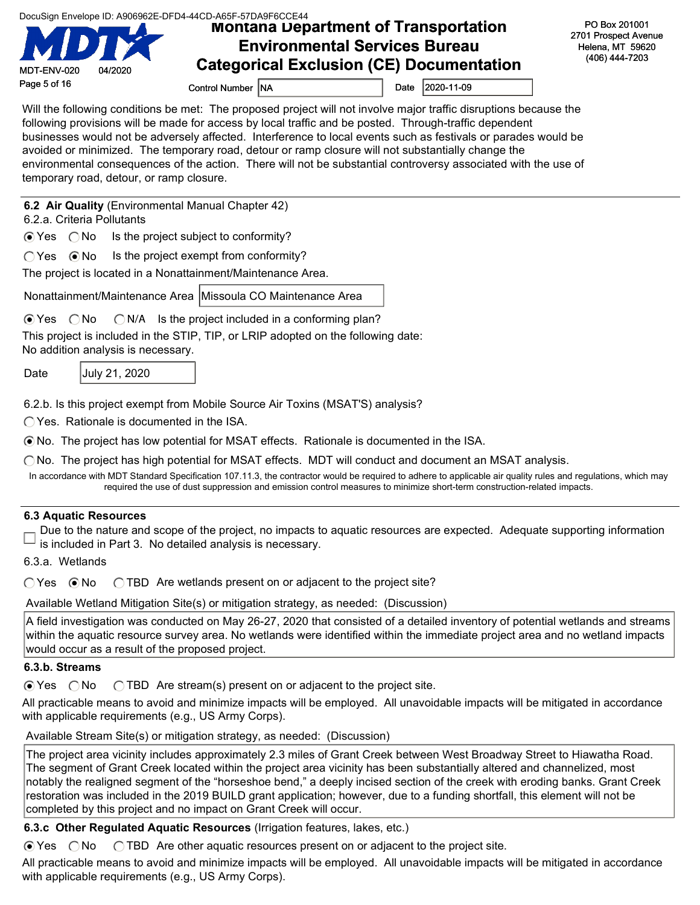|  | DocuSign Envelope ID: A906962E-DFD4-44CD-A65F-57DA9F6CCE44 |  |  |
|--|------------------------------------------------------------|--|--|
|  |                                                            |  |  |

### DocuSign Envelope ID: A906962E-DFD4-44CD-A65F-57DA9F6CCE44<br>**Montana Department of Transportation** Environmental Services Bureau Categorical Exclusion (CE) Documentation

PO Box 201001 2701 Prospect Avenue Helena, MT 59620 (406) 444-7203

Page 5 of 16 Control Number NA Date 2020-11-09

Will the following conditions be met: The proposed project will not involve major traffic disruptions because the following provisions will be made for access by local traffic and be posted. Through-traffic dependent businesses would not be adversely affected. Interference to local events such as festivals or parades would be avoided or minimized. The temporary road, detour or ramp closure will not substantially change the environmental consequences of the action. There will not be substantial controversy associated with the use of temporary road, detour, or ramp closure.

6.2 Air Quality (Environmental Manual Chapter 42)

6.2.a. Criteria Pollutants

MDT-ENV-020 04/2020

 $\odot$  Yes  $\odot$  No Is the project subject to conformity?

 $\bigcap$  Yes  $\bigcirc$  No Is the project exempt from conformity?

The project is located in a Nonattainment/Maintenance Area.

Nonattainment/Maintenance Area | Missoula CO Maintenance Area

 $\bigcirc$  Yes  $\bigcirc$  No  $\bigcirc$  N/A Is the project included in a conforming plan?

This project is included in the STIP, TIP, or LRIP adopted on the following date:

No addition analysis is necessary.

Date **July 21, 2020** 

6.2.b. Is this project exempt from Mobile Source Air Toxins (MSAT'S) analysis?

Yes. Rationale is documented in the ISA.

No. The project has low potential for MSAT effects. Rationale is documented in the ISA.

 $\bigcirc$  No. The project has high potential for MSAT effects. MDT will conduct and document an MSAT analysis.

In accordance with MDT Standard Specification 107.11.3, the contractor would be required to adhere to applicable air quality rules and regulations, which may required the use of dust suppression and emission control measures to minimize short-term construction-related impacts.

#### 6.3 Aquatic Resources

Due to the nature and scope of the project, no impacts to aquatic resources are expected. Adequate supporting information is included in Part 3. No detailed analysis is necessary.

6.3.a. Wetlands

 $\bigcirc$  Yes  $\bigcirc$  No  $\bigcirc$  TBD Are wetlands present on or adjacent to the project site?

Available Wetland Mitigation Site(s) or mitigation strategy, as needed: (Discussion)

A field investigation was conducted on May 26-27, 2020 that consisted of a detailed inventory of potential wetlands and streams within the aquatic resource survey area. No wetlands were identified within the immediate project area and no wetland impacts would occur as a result of the proposed project.

#### 6.3.b. Streams

 $\odot$  Yes  $\odot$  No  $\odot$  TBD Are stream(s) present on or adjacent to the project site.

All practicable means to avoid and minimize impacts will be employed. All unavoidable impacts will be mitigated in accordance with applicable requirements (e.g., US Army Corps).

Available Stream Site(s) or mitigation strategy, as needed: (Discussion)

The project area vicinity includes approximately 2.3 miles of Grant Creek between West Broadway Street to Hiawatha Road. The segment of Grant Creek located within the project area vicinity has been substantially altered and channelized, most notably the realigned segment of the "horseshoe bend," a deeply incised section of the creek with eroding banks. Grant Creek restoration was included in the 2019 BUILD grant application; however, due to a funding shortfall, this element will not be completed by this project and no impact on Grant Creek will occur.

6.3.c Other Regulated Aquatic Resources (Irrigation features, lakes, etc.)

 $\odot$  Yes  $\odot$  No  $\odot$  TBD Are other aquatic resources present on or adjacent to the project site.

All practicable means to avoid and minimize impacts will be employed. All unavoidable impacts will be mitigated in accordance with applicable requirements (e.g., US Army Corps).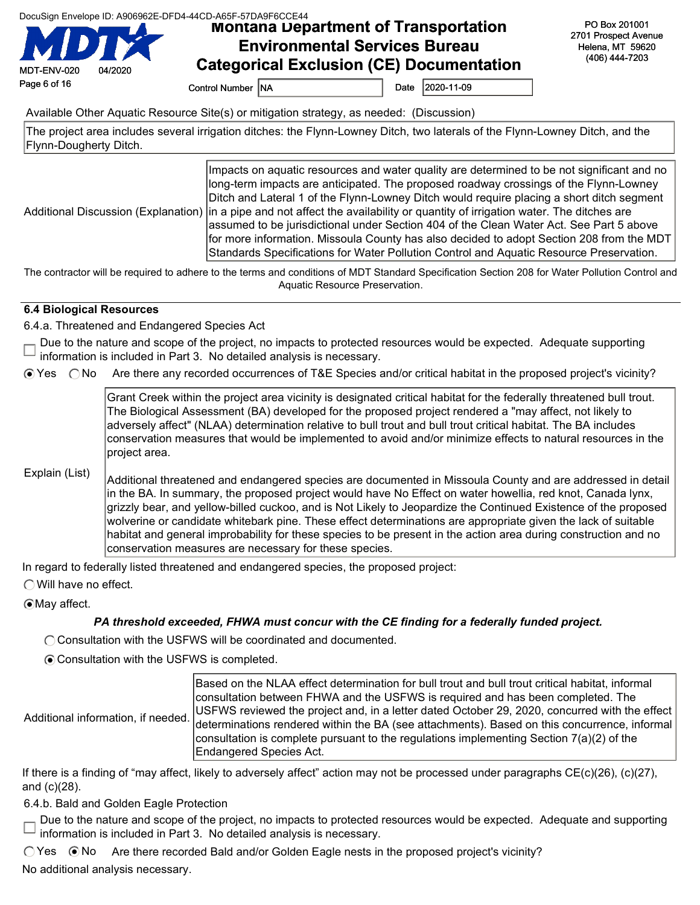|  | DocuSign Envelope ID: A906962E-DFD4-44CD-A65F-57DA9F6CCE44 |  |
|--|------------------------------------------------------------|--|
|  |                                                            |  |

# DocuSign Envelope ID: A906962E-DFD4-44CD-A65F-57DA9F6CCE44<br>**Montana Department of Transportation** Environmental Services Bureau Categorical Exclusion (CE) Documentation

PO Box 201001 2701 Prospect Avenue Helena, MT 59620 (406) 444-7203

Page 6 of 16 Control Number NA Date 2020-11-09

Available Other Aquatic Resource Site(s) or mitigation strategy, as needed: (Discussion)

The project area includes several irrigation ditches: the Flynn-Lowney Ditch, two laterals of the Flynn-Lowney Ditch, and the Flynn-Dougherty Ditch.

Additional Discussion (Explanation) Impacts on aquatic resources and water quality are determined to be not significant and no long-term impacts are anticipated. The proposed roadway crossings of the Flynn-Lowney Ditch and Lateral 1 of the Flynn-Lowney Ditch would require placing a short ditch segment in a pipe and not affect the availability or quantity of irrigation water. The ditches are assumed to be jurisdictional under Section 404 of the Clean Water Act. See Part 5 above for more information. Missoula County has also decided to adopt Section 208 from the MDT Standards Specifications for Water Pollution Control and Aquatic Resource Preservation.

The contractor will be required to adhere to the terms and conditions of MDT Standard Specification Section 208 for Water Pollution Control and Aquatic Resource Preservation.

#### 6.4 Biological Resources

MDT-ENV-020 04/2020

6.4.a. Threatened and Endangered Species Act

Due to the nature and scope of the project, no impacts to protected resources would be expected. Adequate supporting □ Due in the nature and books of the respective conduction is included in Part 3. No detailed analysis is necessary.

Yes No Are there any recorded occurrences of T&E Species and/or critical habitat in the proposed project's vicinity?

Grant Creek within the project area vicinity is designated critical habitat for the federally threatened bull trout. The Biological Assessment (BA) developed for the proposed project rendered a "may affect, not likely to adversely affect" (NLAA) determination relative to bull trout and bull trout critical habitat. The BA includes conservation measures that would be implemented to avoid and/or minimize effects to natural resources in the project area.

### Explain (List)

Additional threatened and endangered species are documented in Missoula County and are addressed in detail in the BA. In summary, the proposed project would have No Effect on water howellia, red knot, Canada lynx, grizzly bear, and yellow-billed cuckoo, and is Not Likely to Jeopardize the Continued Existence of the proposed wolverine or candidate whitebark pine. These effect determinations are appropriate given the lack of suitable habitat and general improbability for these species to be present in the action area during construction and no conservation measures are necessary for these species.

In regard to federally listed threatened and endangered species, the proposed project:

Will have no effect.

May affect.

#### PA threshold exceeded, FHWA must concur with the CE finding for a federally funded project.

C Consultation with the USFWS will be coordinated and documented.

Consultation with the USFWS is completed.

Additional information, if needed.

Based on the NLAA effect determination for bull trout and bull trout critical habitat, informal consultation between FHWA and the USFWS is required and has been completed. The USFWS reviewed the project and, in a letter dated October 29, 2020, concurred with the effect determinations rendered within the BA (see attachments). Based on this concurrence, informal consultation is complete pursuant to the regulations implementing Section 7(a)(2) of the Endangered Species Act.

If there is a finding of "may affect, likely to adversely affect" action may not be processed under paragraphs CE(c)(26), (c)(27), and (c)(28).

6.4.b. Bald and Golden Eagle Protection

Due to the nature and scope of the project, no impacts to protected resources would be expected. Adequate and supporting information is included in Part 3. No detailed analysis is necessary.

 $\bigcirc$  Yes  $\bigcirc$  No Are there recorded Bald and/or Golden Eagle nests in the proposed project's vicinity?

No additional analysis necessary.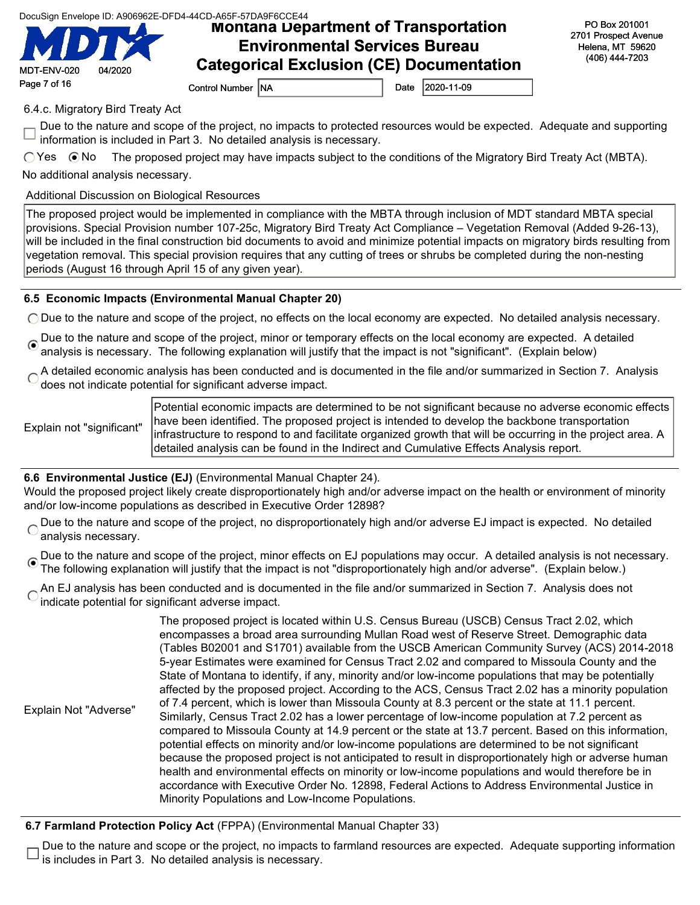Montana Department of Transportation Environmental Services Bureau Categorical Exclusion (CE) Documentation

PO Box 201001 2701 Prospect Avenue Helena, MT 59620 (406) 444-7203

Page 7 of 16 Control Number NA Date 2020-11-09

MDT-ENV-020 04/2020

6.4.c. Migratory Bird Treaty Act

Due to the nature and scope of the project, no impacts to protected resources would be expected. Adequate and supporting information is included in Part 3. No detailed analysis is necessary.

 $\bigcirc$  Yes  $\bigcirc$  No The proposed project may have impacts subject to the conditions of the Migratory Bird Treaty Act (MBTA).

No additional analysis necessary.

Additional Discussion on Biological Resources

The proposed project would be implemented in compliance with the MBTA through inclusion of MDT standard MBTA special provisions. Special Provision number 107-25c, Migratory Bird Treaty Act Compliance – Vegetation Removal (Added 9-26-13), will be included in the final construction bid documents to avoid and minimize potential impacts on migratory birds resulting from vegetation removal. This special provision requires that any cutting of trees or shrubs be completed during the non-nesting periods (August 16 through April 15 of any given year).

### 6.5 Economic Impacts (Environmental Manual Chapter 20)

 $\bigcirc$  Due to the nature and scope of the project, no effects on the local economy are expected. No detailed analysis necessary.

- Due to the nature and scope of the project, minor or temporary effects on the local economy are expected. A detailed analysis is necessary. The following explanation will justify that the impact is not "significant". (Explain below)
- A detailed economic analysis has been conducted and is documented in the file and/or summarized in Section 7. Analysis does not indicate potential for significant adverse impact.

Explain not "significant"

Potential economic impacts are determined to be not significant because no adverse economic effects have been identified. The proposed project is intended to develop the backbone transportation infrastructure to respond to and facilitate organized growth that will be occurring in the project area. A detailed analysis can be found in the Indirect and Cumulative Effects Analysis report.

#### 6.6 Environmental Justice (EJ) (Environmental Manual Chapter 24).

Would the proposed project likely create disproportionately high and/or adverse impact on the health or environment of minority and/or low-income populations as described in Executive Order 12898?

Due to the nature and scope of the project, no disproportionately high and/or adverse EJ impact is expected. No detailed  $\overline{C}$ analysis necessary.

Oue to the nature and scope of the project, minor effects on EJ populations may occur. A detailed analysis is not necessary. The following explanation will justify that the impact is not "disproportionately high and/or adverse". (Explain below.)

An EJ analysis has been conducted and is documented in the file and/or summarized in Section 7. Analysis does not indicate potential for significant adverse impact.

|                       | The proposed project is located within U.S. Census Bureau (USCB) Census Tract 2.02, which             |
|-----------------------|-------------------------------------------------------------------------------------------------------|
|                       | encompasses a broad area surrounding Mullan Road west of Reserve Street. Demographic data             |
|                       | (Tables B02001 and S1701) available from the USCB American Community Survey (ACS) 2014-2018           |
|                       | 5-year Estimates were examined for Census Tract 2.02 and compared to Missoula County and the          |
|                       | State of Montana to identify, if any, minority and/or low-income populations that may be potentially  |
|                       | affected by the proposed project. According to the ACS, Census Tract 2.02 has a minority population   |
|                       | of 7.4 percent, which is lower than Missoula County at 8.3 percent or the state at 11.1 percent.      |
| Explain Not "Adverse" | Similarly, Census Tract 2.02 has a lower percentage of low-income population at 7.2 percent as        |
|                       | compared to Missoula County at 14.9 percent or the state at 13.7 percent. Based on this information,  |
|                       | potential effects on minority and/or low-income populations are determined to be not significant      |
|                       | because the proposed project is not anticipated to result in disproportionately high or adverse human |
|                       | health and environmental effects on minority or low-income populations and would therefore be in      |
|                       | accordance with Executive Order No. 12898, Federal Actions to Address Environmental Justice in        |
|                       | Minority Populations and Low-Income Populations.                                                      |

#### 6.7 Farmland Protection Policy Act (FPPA) (Environmental Manual Chapter 33)

Due to the nature and scope or the project, no impacts to farmland resources are expected. Adequate supporting information is includes in Part 3. No detailed analysis is necessary.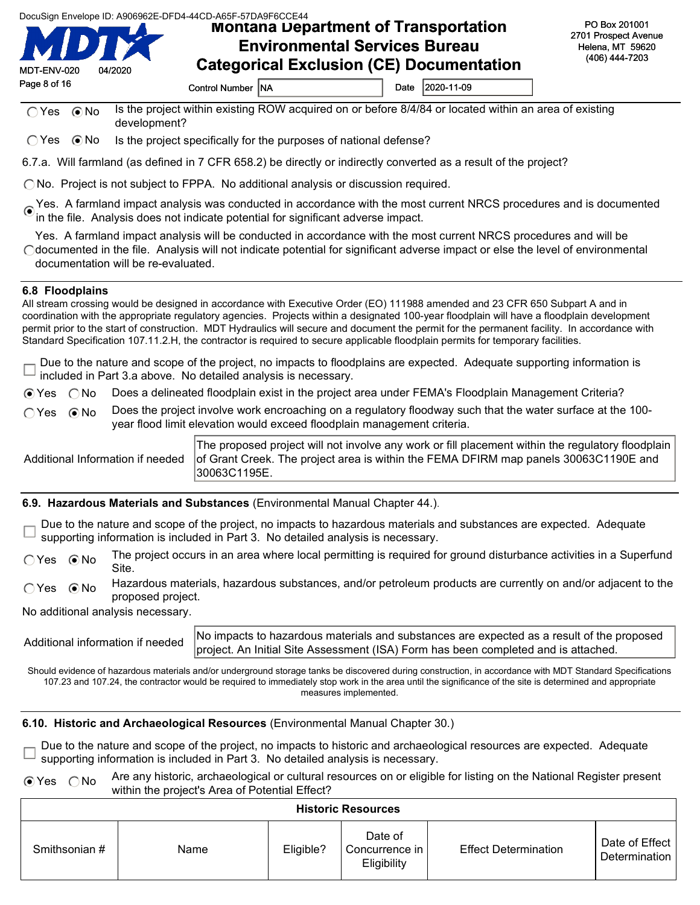Montana Department of Transportation Environmental Services Bureau Categorical Exclusion (CE) Documentation

| MDT-ENV-020  | 04/2020 |
|--------------|---------|
| Page 8 of 16 |         |

8 **Control Number NA Control Number NA** Date 2020-11-09

 $\bigcap$  Yes  $\bigcap$  No Is the project within existing ROW acquired on or before 8/4/84 or located within an area of existing development?

 $\bigcirc$  Yes  $\bigcirc$  No Is the project specifically for the purposes of national defense?

6.7.a. Will farmland (as defined in 7 CFR 658.2) be directly or indirectly converted as a result of the project?

 $\bigcap$  No. Project is not subject to FPPA. No additional analysis or discussion required.

Yes. A farmland impact analysis was conducted in accordance with the most current NRCS procedures and is documented in the file. Analysis does not indicate potential for significant adverse impact.

Yes. A farmland impact analysis will be conducted in accordance with the most current NRCS procedures and will be documented in the file. Analysis will not indicate potential for significant adverse impact or else the level of environmental documentation will be re-evaluated.

#### 6.8 Floodplains

All stream crossing would be designed in accordance with Executive Order (EO) 111988 amended and 23 CFR 650 Subpart A and in coordination with the appropriate regulatory agencies. Projects within a designated 100-year floodplain will have a floodplain development permit prior to the start of construction. MDT Hydraulics will secure and document the permit for the permanent facility. In accordance with Standard Specification 107.11.2.H, the contractor is required to secure applicable floodplain permits for temporary facilities.

Due to the nature and scope of the project, no impacts to floodplains are expected. Adequate supporting information is included in Part 3.a above. No detailed analysis is necessary.

 $\odot$  Yes  $\odot$  No Does a delineated floodplain exist in the project area under FEMA's Floodplain Management Criteria?

 $\bigcap$  Yes  $\bigcirc$  No Does the project involve work encroaching on a regulatory floodway such that the water surface at the 100year flood limit elevation would exceed floodplain management criteria.

Additional Information if needed The proposed project will not involve any work or fill placement within the regulatory floodplain of Grant Creek. The project area is within the FEMA DFIRM map panels 30063C1190E and 30063C1195E.

6.9. Hazardous Materials and Substances (Environmental Manual Chapter 44.).

Due to the nature and scope of the project, no impacts to hazardous materials and substances are expected. Adequate supporting information is included in Part 3. No detailed analysis is necessary.

 $\bigcirc$  Yes  $\bigcirc$  No The project occurs in an area where local permitting is required for ground disturbance activities in a Superfund Site.

○ Yes 
ighor Hazardous materials, hazardous substances, and/or petroleum products are currently on and/or adjacent to the proposed project.

No additional analysis necessary.

Additional information if needed No impacts to hazardous materials and substances are expected as a result of the proposed project. An Initial Site Assessment (ISA) Form has been completed and is attached.

Should evidence of hazardous materials and/or underground storage tanks be discovered during construction, in accordance with MDT Standard Specifications 107.23 and 107.24, the contractor would be required to immediately stop work in the area until the significance of the site is determined and appropriate measures implemented.

#### 6.10. Historic and Archaeological Resources (Environmental Manual Chapter 30.)

Due to the nature and scope of the project, no impacts to historic and archaeological resources are expected. Adequate supporting information is included in Part 3. No detailed analysis is necessary.

 $\odot$  Yes  $\odot$  No Are any historic, archaeological or cultural resources on or eligible for listing on the National Register present within the project's Area of Potential Effect?

| <b>Historic Resources</b> |      |           |                                          |                             |                                   |  |
|---------------------------|------|-----------|------------------------------------------|-----------------------------|-----------------------------------|--|
| Smithsonian #             | Name | Eligible? | Date of<br>Concurrence in<br>Eligibility | <b>Effect Determination</b> | Date of Effect  <br>Determination |  |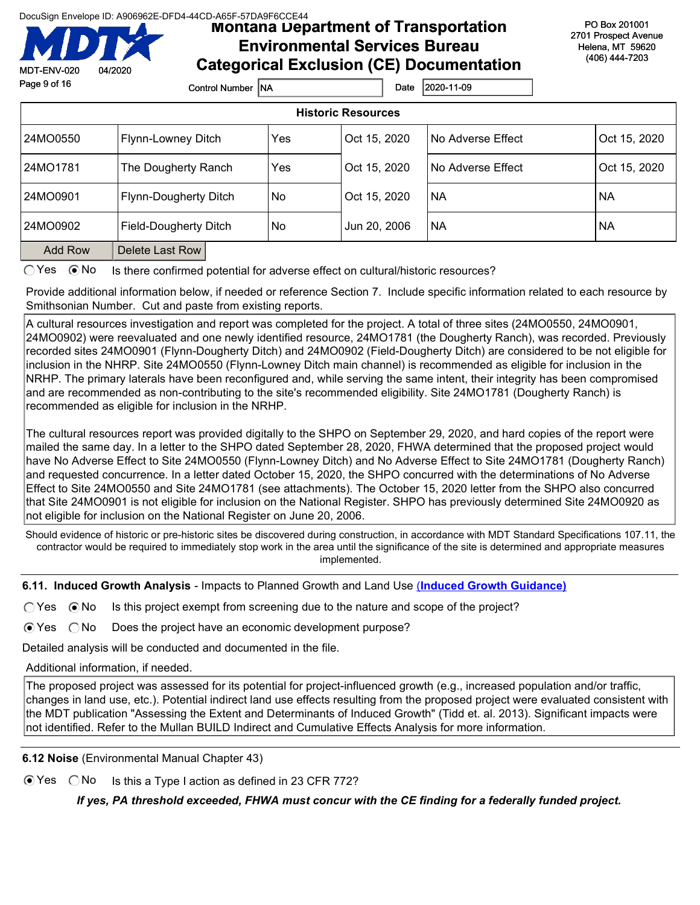Montana Department of Transportation Environmental Services Bureau Categorical Exclusion (CE) Documentation

PO Box 201001 2701 Prospect Avenue Helena, MT 59620 (406) 444-7203

| MDT-ENV-020               | 04/2020 | Calegorical Exclusion (CE) Documentation |     |              |                   |              |  |  |
|---------------------------|---------|------------------------------------------|-----|--------------|-------------------|--------------|--|--|
| Page 9 of 16              |         | Control Number INA                       |     | Date         | 2020-11-09        |              |  |  |
| <b>Historic Resources</b> |         |                                          |     |              |                   |              |  |  |
| 24MO0550                  |         | Flynn-Lowney Ditch                       | Yes | Oct 15, 2020 | No Adverse Effect | Oct 15, 2020 |  |  |
| 24MO1781                  |         | The Dougherty Ranch                      | Yes | Oct 15, 2020 | No Adverse Effect | Oct 15, 2020 |  |  |
| 24MO0901                  |         | Flynn-Dougherty Ditch                    | No. | Oct 15, 2020 | <b>NA</b>         | <b>NA</b>    |  |  |
| 24MO0902                  |         | Field-Dougherty Ditch                    | No. | Jun 20, 2006 | <b>NA</b>         | <b>NA</b>    |  |  |
| <b>Add Row</b>            |         | Delete Last Row                          |     |              |                   |              |  |  |

 $\bigcirc$  Yes  $\bigcirc$  No Is there confirmed potential for adverse effect on cultural/historic resources?

Provide additional information below, if needed or reference Section 7. Include specific information related to each resource by Smithsonian Number. Cut and paste from existing reports.

A cultural resources investigation and report was completed for the project. A total of three sites (24MO0550, 24MO0901, 24MO0902) were reevaluated and one newly identified resource, 24MO1781 (the Dougherty Ranch), was recorded. Previously recorded sites 24MO0901 (Flynn-Dougherty Ditch) and 24MO0902 (Field-Dougherty Ditch) are considered to be not eligible for inclusion in the NHRP. Site 24MO0550 (Flynn-Lowney Ditch main channel) is recommended as eligible for inclusion in the NRHP. The primary laterals have been reconfigured and, while serving the same intent, their integrity has been compromised and are recommended as non-contributing to the site's recommended eligibility. Site 24MO1781 (Dougherty Ranch) is recommended as eligible for inclusion in the NRHP.

The cultural resources report was provided digitally to the SHPO on September 29, 2020, and hard copies of the report were mailed the same day. In a letter to the SHPO dated September 28, 2020, FHWA determined that the proposed project would have No Adverse Effect to Site 24MO0550 (Flynn-Lowney Ditch) and No Adverse Effect to Site 24MO1781 (Dougherty Ranch) and requested concurrence. In a letter dated October 15, 2020, the SHPO concurred with the determinations of No Adverse Effect to Site 24MO0550 and Site 24MO1781 (see attachments). The October 15, 2020 letter from the SHPO also concurred that Site 24MO0901 is not eligible for inclusion on the National Register. SHPO has previously determined Site 24MO0920 as not eligible for inclusion on the National Register on June 20, 2006.

Should evidence of historic or pre-historic sites be discovered during construction, in accordance with MDT Standard Specifications 107.11, the contractor would be required to immediately stop work in the area until the significance of the site is determined and appropriate measures implemented.

6.11. Induced Growth Analysis - Impacts to Planned Growth and Land Use (Induced Growth Guidance)

 $\bigcirc$  Yes  $\bigcirc$  No Is this project exempt from screening due to the nature and scope of the project?

 $\odot$  Yes  $\odot$  No Does the project have an economic development purpose?

Detailed analysis will be conducted and documented in the file.

Additional information, if needed.

The proposed project was assessed for its potential for project-influenced growth (e.g., increased population and/or traffic, changes in land use, etc.). Potential indirect land use effects resulting from the proposed project were evaluated consistent with the MDT publication "Assessing the Extent and Determinants of Induced Growth" (Tidd et. al. 2013). Significant impacts were not identified. Refer to the Mullan BUILD Indirect and Cumulative Effects Analysis for more information.

6.12 Noise (Environmental Manual Chapter 43)

 $\odot$  Yes  $\odot$  No Is this a Type I action as defined in 23 CFR 772?

If yes, PA threshold exceeded, FHWA must concur with the CE finding for a federally funded project.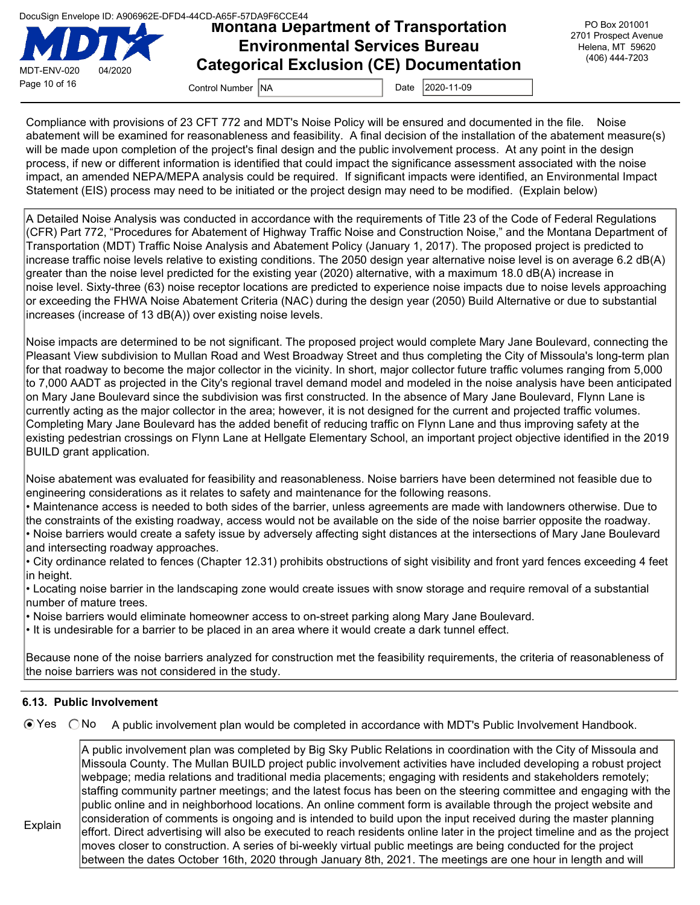

### Montana Department of Transportation Environmental Services Bureau Categorical Exclusion (CE) Documentation

PO Box 201001 2701 Prospect Avenue Helena, MT 59620 (406) 444-7203

Compliance with provisions of 23 CFT 772 and MDT's Noise Policy will be ensured and documented in the file. Noise abatement will be examined for reasonableness and feasibility. A final decision of the installation of the abatement measure(s) will be made upon completion of the project's final design and the public involvement process. At any point in the design process, if new or different information is identified that could impact the significance assessment associated with the noise impact, an amended NEPA/MEPA analysis could be required. If significant impacts were identified, an Environmental Impact Statement (EIS) process may need to be initiated or the project design may need to be modified. (Explain below)

A Detailed Noise Analysis was conducted in accordance with the requirements of Title 23 of the Code of Federal Regulations (CFR) Part 772, "Procedures for Abatement of Highway Traffic Noise and Construction Noise," and the Montana Department of Transportation (MDT) Traffic Noise Analysis and Abatement Policy (January 1, 2017). The proposed project is predicted to increase traffic noise levels relative to existing conditions. The 2050 design year alternative noise level is on average 6.2 dB(A) greater than the noise level predicted for the existing year (2020) alternative, with a maximum 18.0 dB(A) increase in noise level. Sixty-three (63) noise receptor locations are predicted to experience noise impacts due to noise levels approaching or exceeding the FHWA Noise Abatement Criteria (NAC) during the design year (2050) Build Alternative or due to substantial increases (increase of 13 dB(A)) over existing noise levels.

Noise impacts are determined to be not significant. The proposed project would complete Mary Jane Boulevard, connecting the Pleasant View subdivision to Mullan Road and West Broadway Street and thus completing the City of Missoula's long-term plan for that roadway to become the major collector in the vicinity. In short, major collector future traffic volumes ranging from 5,000 to 7,000 AADT as projected in the City's regional travel demand model and modeled in the noise analysis have been anticipated on Mary Jane Boulevard since the subdivision was first constructed. In the absence of Mary Jane Boulevard, Flynn Lane is currently acting as the major collector in the area; however, it is not designed for the current and projected traffic volumes. Completing Mary Jane Boulevard has the added benefit of reducing traffic on Flynn Lane and thus improving safety at the existing pedestrian crossings on Flynn Lane at Hellgate Elementary School, an important project objective identified in the 2019 BUILD grant application.

Noise abatement was evaluated for feasibility and reasonableness. Noise barriers have been determined not feasible due to engineering considerations as it relates to safety and maintenance for the following reasons.

• Maintenance access is needed to both sides of the barrier, unless agreements are made with landowners otherwise. Due to the constraints of the existing roadway, access would not be available on the side of the noise barrier opposite the roadway. • Noise barriers would create a safety issue by adversely affecting sight distances at the intersections of Mary Jane Boulevard and intersecting roadway approaches.

• City ordinance related to fences (Chapter 12.31) prohibits obstructions of sight visibility and front yard fences exceeding 4 feet in height.

• Locating noise barrier in the landscaping zone would create issues with snow storage and require removal of a substantial number of mature trees.

• Noise barriers would eliminate homeowner access to on-street parking along Mary Jane Boulevard.

• It is undesirable for a barrier to be placed in an area where it would create a dark tunnel effect.

Because none of the noise barriers analyzed for construction met the feasibility requirements, the criteria of reasonableness of the noise barriers was not considered in the study.

#### 6.13. Public Involvement

Explain

 $\odot$  Yes  $\odot$  No A public involvement plan would be completed in accordance with MDT's Public Involvement Handbook.

A public involvement plan was completed by Big Sky Public Relations in coordination with the City of Missoula and Missoula County. The Mullan BUILD project public involvement activities have included developing a robust project webpage; media relations and traditional media placements; engaging with residents and stakeholders remotely; staffing community partner meetings; and the latest focus has been on the steering committee and engaging with the public online and in neighborhood locations. An online comment form is available through the project website and consideration of comments is ongoing and is intended to build upon the input received during the master planning effort. Direct advertising will also be executed to reach residents online later in the project timeline and as the project moves closer to construction. A series of bi-weekly virtual public meetings are being conducted for the project between the dates October 16th, 2020 through January 8th, 2021. The meetings are one hour in length and will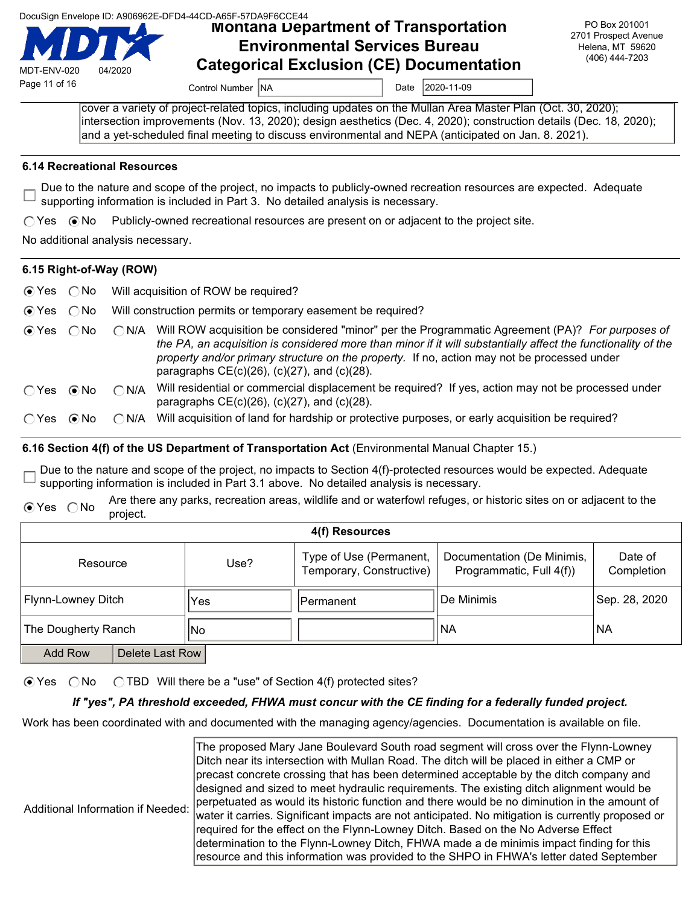|  |  | DocuSign Envelope ID: A906962E-DFD4-44CD-A65F-57DA9F6CCE44 |
|--|--|------------------------------------------------------------|
|  |  |                                                            |
|  |  |                                                            |

DocuSign Envelope ID: A906962E-DFD4-44CD-A65F-57DA9F6CCE44<br>**MOntana Department of Transportation** Environmental Services Bureau Categorical Exclusion (CE) Documentation

PO Box 201001 2701 Prospect Avenue Helena, MT 59620 (406) 444-7203

MDT-ENV-020 04/2020

Page 11 of 16 Control Number NA Date 2020-11-09

cover a variety of project-related topics, including updates on the Mullan Area Master Plan (Oct. 30, 2020); intersection improvements (Nov. 13, 2020); design aesthetics (Dec. 4, 2020); construction details (Dec. 18, 2020); and a yet-scheduled final meeting to discuss environmental and NEPA (anticipated on Jan. 8. 2021).

#### 6.14 Recreational Resources

Due to the nature and scope of the project, no impacts to publicly-owned recreation resources are expected. Adequate supporting information is included in Part 3. No detailed analysis is necessary.

 $\bigcirc$  Yes  $\bigcirc$  No Publicly-owned recreational resources are present on or adjacent to the project site.

No additional analysis necessary.

#### 6.15 Right-of-Way (ROW)

|  |  | ⊙ Yes ◯ No Will acquisition of ROW be required? |
|--|--|-------------------------------------------------|
|--|--|-------------------------------------------------|

- $\odot$  Yes  $\odot$  No Will construction permits or temporary easement be required?
- $\odot$  Yes  $\odot$  No  $\odot$  N/A Will ROW acquisition be considered "minor" per the Programmatic Agreement (PA)? For purposes of the PA, an acquisition is considered more than minor if it will substantially affect the functionality of the property and/or primary structure on the property. If no, action may not be processed under paragraphs CE(c)(26), (c)(27), and (c)(28).
- Yes No N/A Will residential or commercial displacement be required? If yes, action may not be processed under paragraphs  $CE(c)(26)$ ,  $(c)(27)$ , and  $(c)(28)$ .
- $\bigcirc$  Yes  $\bigcirc$  No  $\bigcirc$  N/A Will acquisition of land for hardship or protective purposes, or early acquisition be required?

#### 6.16 Section 4(f) of the US Department of Transportation Act (Environmental Manual Chapter 15.)

Due to the nature and scope of the project, no impacts to Section 4(f)-protected resources would be expected. Adequate supporting information is included in Part 3.1 above. No detailed analysis is necessary.

⊙ Yes 
ONo Are there any parks, recreation areas, wildlife and or waterfowl refuges, or historic sites on or adjacent to the project.

| 4(f) Resources                    |  |      |                                                     |                                                        |                       |  |
|-----------------------------------|--|------|-----------------------------------------------------|--------------------------------------------------------|-----------------------|--|
| Resource                          |  | Use? | Type of Use (Permanent,<br>Temporary, Constructive) | Documentation (De Minimis,<br>Programmatic, Full 4(f)) | Date of<br>Completion |  |
| Flynn-Lowney Ditch                |  | 'Yes | lPermanent                                          | De Minimis                                             | Sep. 28, 2020         |  |
| The Dougherty Ranch               |  | No   |                                                     | NA                                                     | <b>NA</b>             |  |
| <b>Add Row</b><br>Delete Last Row |  |      |                                                     |                                                        |                       |  |

 $\bigcirc$  Yes  $\bigcirc$  No  $\bigcirc$  TBD Will there be a "use" of Section 4(f) protected sites?

#### If "yes", PA threshold exceeded, FHWA must concur with the CE finding for a federally funded project.

Work has been coordinated with and documented with the managing agency/agencies. Documentation is available on file.

The proposed Mary Jane Boulevard South road segment will cross over the Flynn-Lowney Ditch near its intersection with Mullan Road. The ditch will be placed in either a CMP or precast concrete crossing that has been determined acceptable by the ditch company and designed and sized to meet hydraulic requirements. The existing ditch alignment would be perpetuated as would its historic function and there would be no diminution in the amount of water it carries. Significant impacts are not anticipated. No mitigation is currently proposed or required for the effect on the Flynn-Lowney Ditch. Based on the No Adverse Effect determination to the Flynn-Lowney Ditch, FHWA made a de minimis impact finding for this resource and this information was provided to the SHPO in FHWA's letter dated September

Additional Information if Needed: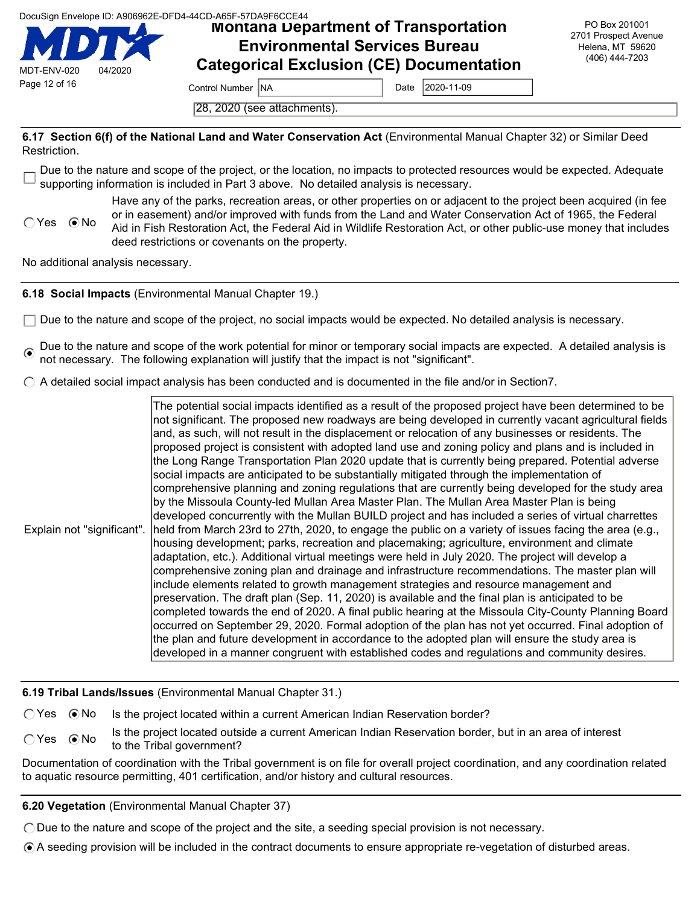Montana Department of Transportation Environmental Services Bureau Categorical Exclusion (CE) Documentation

PO Box 201001 2701 Prospect Avenue Helena, MT 59620 (406) 444-7203

Page 12 of 16 Control Number NA Date 2020-11-09

28, 2020 (see attachments).

6.17 Section 6(f) of the National Land and Water Conservation Act (Environmental Manual Chapter 32) or Similar Deed Restriction.

Due to the nature and scope of the project, or the location, no impacts to protected resources would be expected. Adequate supporting information is included in Part 3 above. No detailed analysis is necessary.

 $\bigcap$  Yes  $\bigcirc$  No Have any of the parks, recreation areas, or other properties on or adjacent to the project been acquired (in fee or in easement) and/or improved with funds from the Land and Water Conservation Act of 1965, the Federal Aid in Fish Restoration Act, the Federal Aid in Wildlife Restoration Act, or other public-use money that includes deed restrictions or covenants on the property.

No additional analysis necessary.

MDT-ENV-020 04/2020

6.18 Social Impacts (Environmental Manual Chapter 19.)

 $\Box$  Due to the nature and scope of the project, no social impacts would be expected. No detailed analysis is necessary.

Due to the nature and scope of the work potential for minor or temporary social impacts are expected. A detailed analysis is not necessary. The following explanation will justify that the impact is not "significant".

 $\bigcirc$  A detailed social impact analysis has been conducted and is documented in the file and/or in Section7.

Explain not "significant". The potential social impacts identified as a result of the proposed project have been determined to be not significant. The proposed new roadways are being developed in currently vacant agricultural fields and, as such, will not result in the displacement or relocation of any businesses or residents. The proposed project is consistent with adopted land use and zoning policy and plans and is included in the Long Range Transportation Plan 2020 update that is currently being prepared. Potential adverse social impacts are anticipated to be substantially mitigated through the implementation of comprehensive planning and zoning regulations that are currently being developed for the study area by the Missoula County-led Mullan Area Master Plan. The Mullan Area Master Plan is being developed concurrently with the Mullan BUILD project and has included a series of virtual charrettes held from March 23rd to 27th, 2020, to engage the public on a variety of issues facing the area (e.g., housing development; parks, recreation and placemaking; agriculture, environment and climate adaptation, etc.). Additional virtual meetings were held in July 2020. The project will develop a comprehensive zoning plan and drainage and infrastructure recommendations. The master plan will include elements related to growth management strategies and resource management and preservation. The draft plan (Sep. 11, 2020) is available and the final plan is anticipated to be completed towards the end of 2020. A final public hearing at the Missoula City-County Planning Board occurred on September 29, 2020. Formal adoption of the plan has not yet occurred. Final adoption of the plan and future development in accordance to the adopted plan will ensure the study area is developed in a manner congruent with established codes and regulations and community desires.

6.19 Tribal Lands/Issues (Environmental Manual Chapter 31.)

 $\bigcirc$  Yes  $\bigcirc$  No Is the project located within a current American Indian Reservation border?

C Yes 
is the project located outside a current American Indian Reservation border, but in an area of interest to the Tribal government?

Documentation of coordination with the Tribal government is on file for overall project coordination, and any coordination related to aquatic resource permitting, 401 certification, and/or history and cultural resources.

6.20 Vegetation (Environmental Manual Chapter 37)

Due to the nature and scope of the project and the site, a seeding special provision is not necessary.

A seeding provision will be included in the contract documents to ensure appropriate re-vegetation of disturbed areas.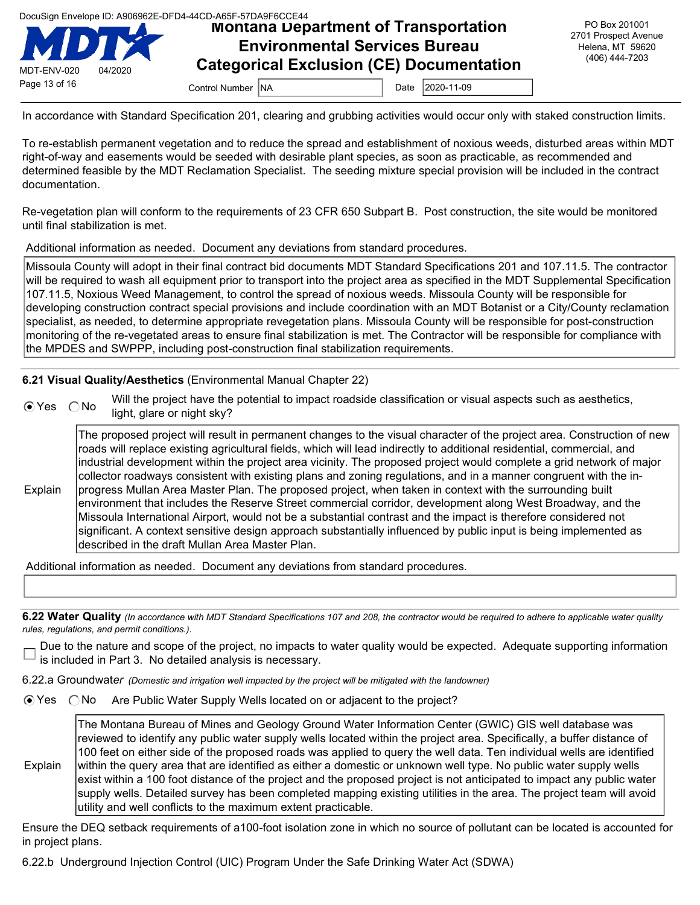|  | DocuSign Envelope ID: A906962E-DFD4-44CD-A65F-57DA9F6CCE44 |  |  |
|--|------------------------------------------------------------|--|--|
|  |                                                            |  |  |
|  |                                                            |  |  |



# DocuSign Envelope ID: A906962E-DFD4-44CD-A65F-57DA9F6CCE44<br>**MOntana Department of Transportation** Environmental Services Bureau Categorical Exclusion (CE) Documentation

In accordance with Standard Specification 201, clearing and grubbing activities would occur only with staked construction limits.

To re-establish permanent vegetation and to reduce the spread and establishment of noxious weeds, disturbed areas within MDT right-of-way and easements would be seeded with desirable plant species, as soon as practicable, as recommended and determined feasible by the MDT Reclamation Specialist. The seeding mixture special provision will be included in the contract documentation.

Re-vegetation plan will conform to the requirements of 23 CFR 650 Subpart B. Post construction, the site would be monitored until final stabilization is met.

Additional information as needed. Document any deviations from standard procedures.

Missoula County will adopt in their final contract bid documents MDT Standard Specifications 201 and 107.11.5. The contractor will be required to wash all equipment prior to transport into the project area as specified in the MDT Supplemental Specification 107.11.5, Noxious Weed Management, to control the spread of noxious weeds. Missoula County will be responsible for developing construction contract special provisions and include coordination with an MDT Botanist or a City/County reclamation specialist, as needed, to determine appropriate revegetation plans. Missoula County will be responsible for post-construction monitoring of the re-vegetated areas to ensure final stabilization is met. The Contractor will be responsible for compliance with the MPDES and SWPPP, including post-construction final stabilization requirements.

#### 6.21 Visual Quality/Aesthetics (Environmental Manual Chapter 22)

| $OYes$ $ONo$ | Will the project have the potential to impact roadside classification or visual aspects such as aesthetics,<br>light, glare or night sky? |
|--------------|-------------------------------------------------------------------------------------------------------------------------------------------|
|              |                                                                                                                                           |

The proposed project will result in permanent changes to the visual character of the project area. Construction of new roads will replace existing agricultural fields, which will lead indirectly to additional residential, commercial, and industrial development within the project area vicinity. The proposed project would complete a grid network of major collector roadways consistent with existing plans and zoning regulations, and in a manner congruent with the inprogress Mullan Area Master Plan. The proposed project, when taken in context with the surrounding built

Explain environment that includes the Reserve Street commercial corridor, development along West Broadway, and the Missoula International Airport, would not be a substantial contrast and the impact is therefore considered not significant. A context sensitive design approach substantially influenced by public input is being implemented as described in the draft Mullan Area Master Plan.

Additional information as needed. Document any deviations from standard procedures.

6.22 Water Quality (In accordance with MDT Standard Specifications 107 and 208, the contractor would be required to adhere to applicable water quality rules, regulations, and permit conditions.).

Due to the nature and scope of the project, no impacts to water quality would be expected. Adequate supporting information is included in Part 3. No detailed analysis is necessary.

6.22.a Groundwater (Domestic and irrigation well impacted by the project will be mitigated with the landowner)

⊙ Yes ONo Are Public Water Supply Wells located on or adjacent to the project?

The Montana Bureau of Mines and Geology Ground Water Information Center (GWIC) GIS well database was reviewed to identify any public water supply wells located within the project area. Specifically, a buffer distance of 100 feet on either side of the proposed roads was applied to query the well data. Ten individual wells are identified

Explain within the query area that are identified as either a domestic or unknown well type. No public water supply wells exist within a 100 foot distance of the project and the proposed project is not anticipated to impact any public water supply wells. Detailed survey has been completed mapping existing utilities in the area. The project team will avoid utility and well conflicts to the maximum extent practicable.

Ensure the DEQ setback requirements of a100-foot isolation zone in which no source of pollutant can be located is accounted for in project plans.

6.22.b Underground Injection Control (UIC) Program Under the Safe Drinking Water Act (SDWA)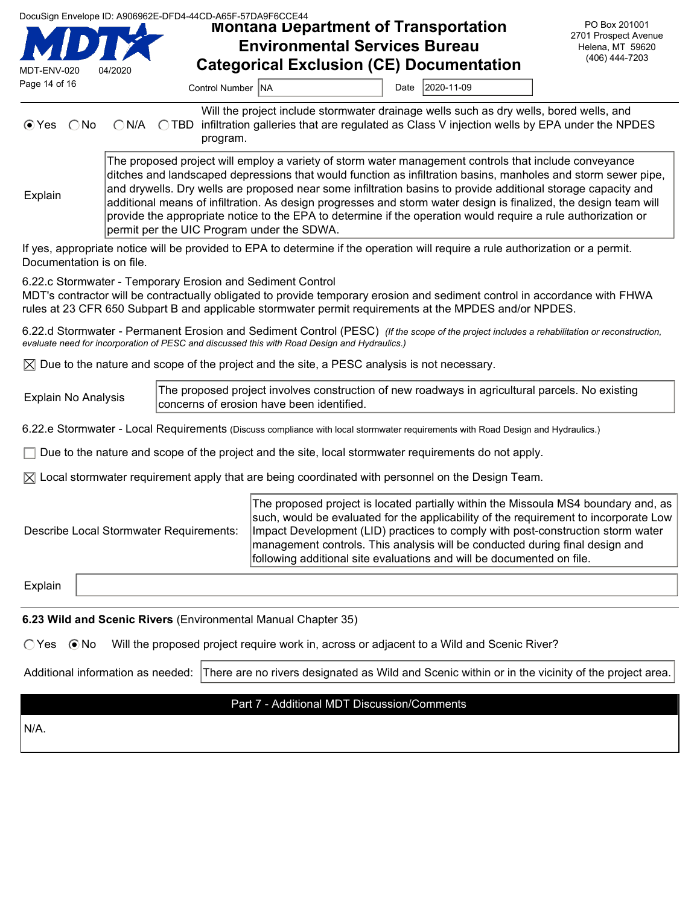| MDT-ENV-020<br>Page 14 of 16                                                                                                                                                                                                                                                                                                                                                                                                                                                                                                                                                                                                          | 04/2020                | DocuSign Envelope ID: A906962E-DFD4-44CD-A65F-57DA9F6CCE44<br><b>Montana Department of Transportation</b><br><b>Environmental Services Bureau</b><br><b>Categorical Exclusion (CE) Documentation</b><br><b>Control Number INA</b> | Date | 2020-11-09 | PO Box 201001<br>2701 Prospect Avenue<br>Helena, MT 59620<br>(406) 444-7203 |
|---------------------------------------------------------------------------------------------------------------------------------------------------------------------------------------------------------------------------------------------------------------------------------------------------------------------------------------------------------------------------------------------------------------------------------------------------------------------------------------------------------------------------------------------------------------------------------------------------------------------------------------|------------------------|-----------------------------------------------------------------------------------------------------------------------------------------------------------------------------------------------------------------------------------|------|------------|-----------------------------------------------------------------------------|
| $\odot$ Yes<br>No.                                                                                                                                                                                                                                                                                                                                                                                                                                                                                                                                                                                                                    | $\bigcap$ N/A<br>∩ TBD | Will the project include stormwater drainage wells such as dry wells, bored wells, and<br>infiltration galleries that are regulated as Class V injection wells by EPA under the NPDES<br>program.                                 |      |            |                                                                             |
| The proposed project will employ a variety of storm water management controls that include conveyance<br>ditches and landscaped depressions that would function as infiltration basins, manholes and storm sewer pipe,<br>and drywells. Dry wells are proposed near some infiltration basins to provide additional storage capacity and<br>Explain<br>additional means of infiltration. As design progresses and storm water design is finalized, the design team will<br>provide the appropriate notice to the EPA to determine if the operation would require a rule authorization or<br>permit per the UIC Program under the SDWA. |                        |                                                                                                                                                                                                                                   |      |            |                                                                             |

If yes, appropriate notice will be provided to EPA to determine if the operation will require a rule authorization or a permit. Documentation is on file.

6.22.c Stormwater - Temporary Erosion and Sediment Control

MDT's contractor will be contractually obligated to provide temporary erosion and sediment control in accordance with FHWA rules at 23 CFR 650 Subpart B and applicable stormwater permit requirements at the MPDES and/or NPDES.

6.22.d Stormwater - Permanent Erosion and Sediment Control (PESC) (If the scope of the project includes a rehabilitation or reconstruction, evaluate need for incorporation of PESC and discussed this with Road Design and Hydraulics.)

 $\boxtimes$  Due to the nature and scope of the project and the site, a PESC analysis is not necessary.

Explain No Analysis The proposed project involves construction of new roadways in agricultural parcels. No existing concerns of erosion have been identified.

6.22.e Stormwater - Local Requirements (Discuss compliance with local stormwater requirements with Road Design and Hydraulics.)

 $\Box$  Due to the nature and scope of the project and the site, local stormwater requirements do not apply.

 $\boxtimes$  Local stormwater requirement apply that are being coordinated with personnel on the Design Team.

Describe Local Stormwater Requirements:

The proposed project is located partially within the Missoula MS4 boundary and, as such, would be evaluated for the applicability of the requirement to incorporate Low Impact Development (LID) practices to comply with post-construction storm water management controls. This analysis will be conducted during final design and following additional site evaluations and will be documented on file.

Explain

6.23 Wild and Scenic Rivers (Environmental Manual Chapter 35)

 $\bigcap$  Yes  $\bigcirc$  No Will the proposed project require work in, across or adjacent to a Wild and Scenic River?

Additional information as needed: There are no rivers designated as Wild and Scenic within or in the vicinity of the project area.

#### Part 7 - Additional MDT Discussion/Comments

N/A.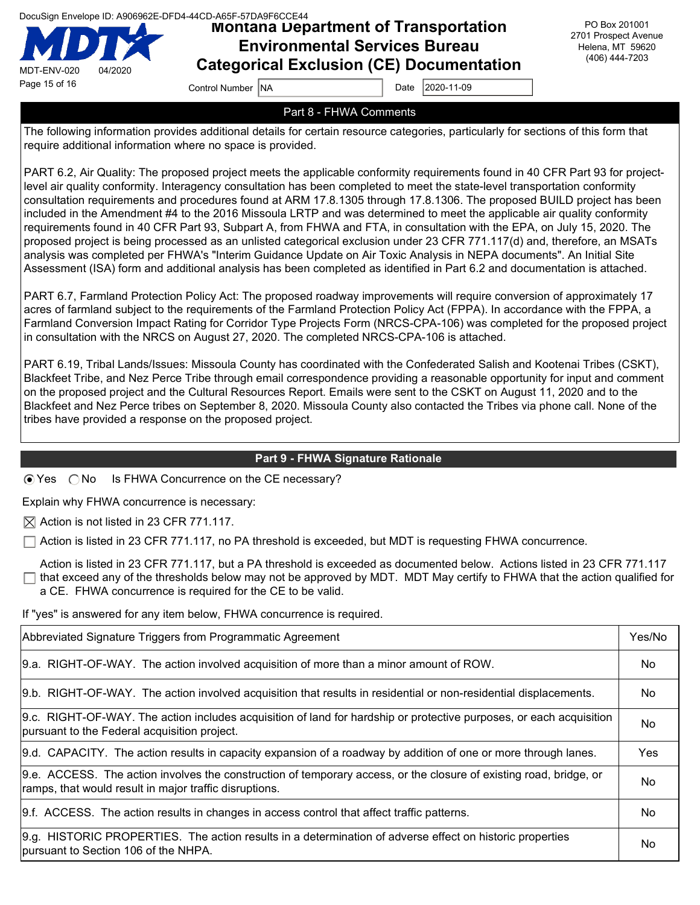MDT-ENV-020 04/2020 Page 15 of 16 Control Number NA Date 2020-11-09

### Montana Department of Transportation Environmental Services Bureau Categorical Exclusion (CE) Documentation

PO Box 201001 2701 Prospect Avenue Helena, MT 59620 (406) 444-7203

### Part 8 - FHWA Comments

The following information provides additional details for certain resource categories, particularly for sections of this form that require additional information where no space is provided.

PART 6.2, Air Quality: The proposed project meets the applicable conformity requirements found in 40 CFR Part 93 for projectlevel air quality conformity. Interagency consultation has been completed to meet the state-level transportation conformity consultation requirements and procedures found at ARM 17.8.1305 through 17.8.1306. The proposed BUILD project has been included in the Amendment #4 to the 2016 Missoula LRTP and was determined to meet the applicable air quality conformity requirements found in 40 CFR Part 93, Subpart A, from FHWA and FTA, in consultation with the EPA, on July 15, 2020. The proposed project is being processed as an unlisted categorical exclusion under 23 CFR 771.117(d) and, therefore, an MSATs analysis was completed per FHWA's "Interim Guidance Update on Air Toxic Analysis in NEPA documents". An Initial Site Assessment (ISA) form and additional analysis has been completed as identified in Part 6.2 and documentation is attached.

PART 6.7, Farmland Protection Policy Act: The proposed roadway improvements will require conversion of approximately 17 acres of farmland subject to the requirements of the Farmland Protection Policy Act (FPPA). In accordance with the FPPA, a Farmland Conversion Impact Rating for Corridor Type Projects Form (NRCS-CPA-106) was completed for the proposed project in consultation with the NRCS on August 27, 2020. The completed NRCS-CPA-106 is attached.

PART 6.19, Tribal Lands/Issues: Missoula County has coordinated with the Confederated Salish and Kootenai Tribes (CSKT), Blackfeet Tribe, and Nez Perce Tribe through email correspondence providing a reasonable opportunity for input and comment on the proposed project and the Cultural Resources Report. Emails were sent to the CSKT on August 11, 2020 and to the Blackfeet and Nez Perce tribes on September 8, 2020. Missoula County also contacted the Tribes via phone call. None of the tribes have provided a response on the proposed project.

### Part 9 - FHWA Signature Rationale

 $\odot$  Yes  $\odot$  No Is FHWA Concurrence on the CE necessary?

Explain why FHWA concurrence is necessary:

 $\boxtimes$  Action is not listed in 23 CFR 771.117.

 $\Box$  Action is listed in 23 CFR 771.117, no PA threshold is exceeded, but MDT is requesting FHWA concurrence.

Action is listed in 23 CFR 771.117, but a PA threshold is exceeded as documented below. Actions listed in 23 CFR 771.117  $\Box$  that exceed any of the thresholds below may not be approved by MDT. MDT May certify to FHWA that the action qualified for a CE. FHWA concurrence is required for the CE to be valid.

If "yes" is answered for any item below, FHWA concurrence is required.

| Abbreviated Signature Triggers from Programmatic Agreement                                                                                                                   |     |  |
|------------------------------------------------------------------------------------------------------------------------------------------------------------------------------|-----|--|
| 9.a. RIGHT-OF-WAY. The action involved acquisition of more than a minor amount of ROW.                                                                                       | No. |  |
| 9.b. RIGHT-OF-WAY. The action involved acquisition that results in residential or non-residential displacements.                                                             | No. |  |
| 9.c. RIGHT-OF-WAY. The action includes acquisition of land for hardship or protective purposes, or each acquisition<br>pursuant to the Federal acquisition project.          | No. |  |
| [9.d. CAPACITY. The action results in capacity expansion of a roadway by addition of one or more through lanes.                                                              | Yes |  |
| 9.e. ACCESS. The action involves the construction of temporary access, or the closure of existing road, bridge, or<br>ramps, that would result in major traffic disruptions. | No. |  |
| [9.f. ACCESS. The action results in changes in access control that affect traffic patterns.                                                                                  | No. |  |
| 9.g. HISTORIC PROPERTIES. The action results in a determination of adverse effect on historic properties<br>pursuant to Section 106 of the NHPA.                             | No  |  |